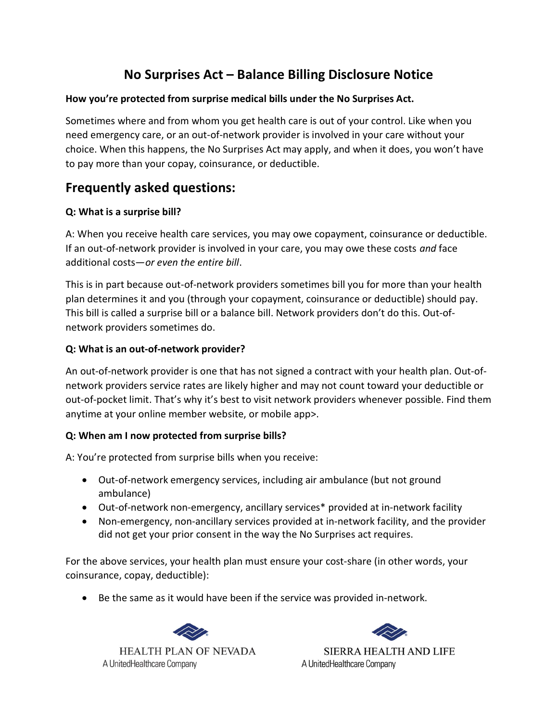# No Surprises Act – Balance Billing Disclosure Notice

### How you're protected from surprise medical bills under the No Surprises Act.

Sometimes where and from whom you get health care is out of your control. Like when you need emergency care, or an out-of-network provider is involved in your care without your choice. When this happens, the No Surprises Act may apply, and when it does, you won't have to pay more than your copay, coinsurance, or deductible.

## Frequently asked questions:

## Q: What is a surprise bill?

A: When you receive health care services, you may owe copayment, coinsurance or deductible. If an out-of-network provider is involved in your care, you may owe these costs and face additional costs—or even the entire bill.

This is in part because out-of-network providers sometimes bill you for more than your health plan determines it and you (through your copayment, coinsurance or deductible) should pay. This bill is called a surprise bill or a balance bill. Network providers don't do this. Out-ofnetwork providers sometimes do.

## Q: What is an out-of-network provider?

An out-of-network provider is one that has not signed a contract with your health plan. Out-ofnetwork providers service rates are likely higher and may not count toward your deductible or out-of-pocket limit. That's why it's best to visit network providers whenever possible. Find them anytime at your online member website, or mobile app>.

## Q: When am I now protected from surprise bills?

A: You're protected from surprise bills when you receive:

- Out-of-network emergency services, including air ambulance (but not ground ambulance)
- Out-of-network non-emergency, ancillary services\* provided at in-network facility
- Non-emergency, non-ancillary services provided at in-network facility, and the provider did not get your prior consent in the way the No Surprises act requires.

For the above services, your health plan must ensure your cost-share (in other words, your coinsurance, copay, deductible):

• Be the same as it would have been if the service was provided in-network.



**SIERRA HEALTH AND LIFE** 

A UnitedHealthcare Company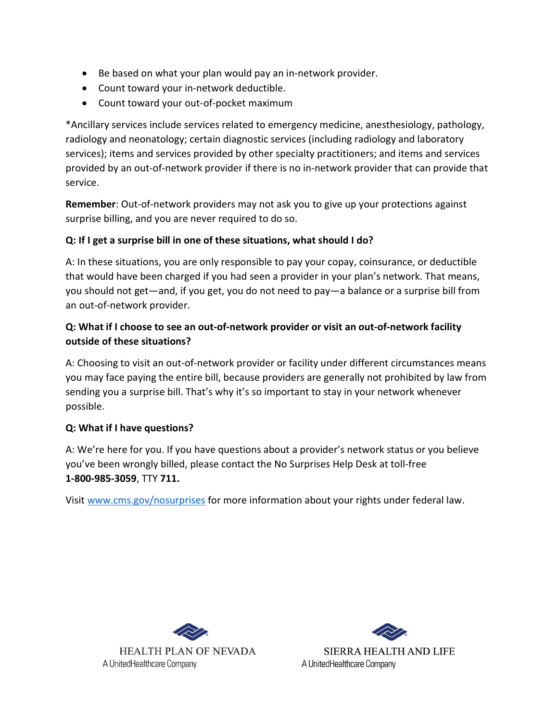- Be based on what your plan would pay an in-network provider.
- Count toward your in-network deductible.
- Count toward your out-of-pocket maximum

\*Ancillary services include services related to emergency medicine, anesthesiology, pathology, radiology and neonatology; certain diagnostic services (including radiology and laboratory services); items and services provided by other specialty practitioners; and items and services provided by an out-of-network provider if there is no in-network provider that can provide that service.

Remember: Out-of-network providers may not ask you to give up your protections against surprise billing, and you are never required to do so.

### Q: If I get a surprise bill in one of these situations, what should I do?

A: In these situations, you are only responsible to pay your copay, coinsurance, or deductible that would have been charged if you had seen a provider in your plan's network. That means, you should not get—and, if you get, you do not need to pay—a balance or a surprise bill from an out-of-network provider.

## Q: What if I choose to see an out-of-network provider or visit an out-of-network facility outside of these situations?

A: Choosing to visit an out-of-network provider or facility under different circumstances means you may face paying the entire bill, because providers are generally not prohibited by law from sending you a surprise bill. That's why it's so important to stay in your network whenever possible.

#### Q: What if I have questions?

A: We're here for you. If you have questions about a provider's network status or you believe you've been wrongly billed, please contact the No Surprises Help Desk at toll-free 1-800-985-3059, TTY 711.

Visit<www.cms.gov/nosurprises>for more information about your rights under federal law.